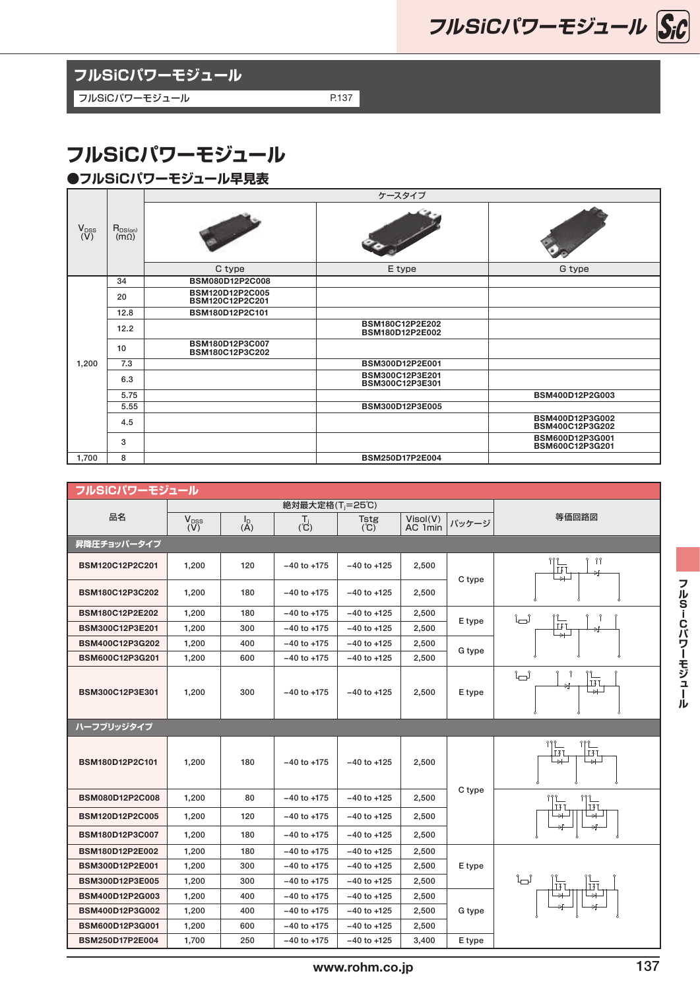**フルSiCパワーモジュール**

**フルSiCパワーモジュール**

フルSiCパワーモジュール P.137

## **フルSiCパワーモジュール**

## **●フルSiCパワーモジュール早見表**

|                    | $R_{DS(on)}$<br>$(m\Omega)$ | ケースタイプ                             |                                    |                                    |  |  |  |  |
|--------------------|-----------------------------|------------------------------------|------------------------------------|------------------------------------|--|--|--|--|
| $V_{DSS}$<br>$(V)$ |                             |                                    |                                    |                                    |  |  |  |  |
|                    |                             | C type                             | E type                             | G type                             |  |  |  |  |
| 1,200              | 34                          | BSM080D12P2C008                    |                                    |                                    |  |  |  |  |
|                    | 20                          | BSM120D12P2C005<br>BSM120C12P2C201 |                                    |                                    |  |  |  |  |
|                    | 12.8                        | BSM180D12P2C101                    |                                    |                                    |  |  |  |  |
|                    | 12.2                        |                                    | BSM180C12P2E202<br>BSM180D12P2E002 |                                    |  |  |  |  |
|                    | 10                          | BSM180D12P3C007<br>BSM180C12P3C202 |                                    |                                    |  |  |  |  |
|                    | 7.3                         |                                    | BSM300D12P2E001                    |                                    |  |  |  |  |
|                    | 6.3                         |                                    | BSM300C12P3E201<br>BSM300C12P3E301 |                                    |  |  |  |  |
|                    | 5.75                        |                                    |                                    | BSM400D12P2G003                    |  |  |  |  |
|                    | 5.55                        |                                    | BSM300D12P3E005                    |                                    |  |  |  |  |
|                    | 4.5                         |                                    |                                    | BSM400D12P3G002<br>BSM400C12P3G202 |  |  |  |  |
|                    | 3                           |                                    |                                    | BSM600D12P3G001<br>BSM600C12P3G201 |  |  |  |  |
| 1,700              | 8                           |                                    | BSM250D17P2E004                    |                                    |  |  |  |  |

| フルSiCパワーモジュール          |                             |                                          |                 |                    |                     |        |                                                                                       |  |  |  |
|------------------------|-----------------------------|------------------------------------------|-----------------|--------------------|---------------------|--------|---------------------------------------------------------------------------------------|--|--|--|
|                        | 絶対最大定格(T <sub>i</sub> =25℃) |                                          |                 |                    |                     |        |                                                                                       |  |  |  |
| 品名                     | $V_{DSS}$<br>$(V)$          | $\begin{matrix} I_D \\ (A) \end{matrix}$ | $\overline{C}$  | <b>Tstg</b><br>(C) | Visol(V)<br>AC 1min | パッケージ  | 等価回路図                                                                                 |  |  |  |
| 昇降圧チョッパータイプ            |                             |                                          |                 |                    |                     |        |                                                                                       |  |  |  |
| BSM120C12P2C201        | 1,200                       | 120                                      | $-40$ to $+175$ | $-40$ to $+125$    | 2,500               | C type | የ የየ<br>992<br>$\overline{14}$                                                        |  |  |  |
| BSM180C12P3C202        | 1,200                       | 180                                      | $-40$ to $+175$ | $-40$ to $+125$    | 2,500               |        |                                                                                       |  |  |  |
| <b>BSM180C12P2E202</b> | 1,200                       | 180                                      | $-40$ to $+175$ | $-40$ to $+125$    | 2,500               | E type | '∟ೆ                                                                                   |  |  |  |
| BSM300C12P3E201        | 1,200                       | 300                                      | $-40$ to $+175$ | $-40$ to $+125$    | 2,500               |        | <b>IXT</b>                                                                            |  |  |  |
| BSM400C12P3G202        | 1,200                       | 400                                      | $-40$ to $+175$ | $-40$ to $+125$    | 2,500               | G type |                                                                                       |  |  |  |
| BSM600C12P3G201        | 1,200                       | 600                                      | $-40$ to $+175$ | $-40$ to $+125$    | 2,500               |        |                                                                                       |  |  |  |
| BSM300C12P3E301        | 1,200                       | 300                                      | $-40$ to $+175$ | $-40$ to $+125$    | 2,500               | E type | '∟ೆ<br>'∟<br>FI<br>$\rightarrow$                                                      |  |  |  |
| ハーフブリッジタイプ             |                             |                                          |                 |                    |                     |        |                                                                                       |  |  |  |
| BSM180D12P2C101        | 1,200                       | 180                                      | $-40$ to $+175$ | $-40$ to $+125$    | 2,500               | C type | 999<br>Η.<br>IŁI<br>$\overline{\phantom{a}}$<br>$\rightarrow$                         |  |  |  |
| BSM080D12P2C008        | 1,200                       | 80                                       | $-40$ to $+175$ | $-40$ to $+125$    | 2,500               |        | $\begin{bmatrix} 1 & 0 \\ 0 & 0 \\ 0 & 0 \\ 0 & 0 \end{bmatrix}$<br>$\prod_{i=1}^{n}$ |  |  |  |
| BSM120D12P2C005        | 1,200                       | 120                                      | $-40$ to $+175$ | $-40$ to $+125$    | 2,500               |        |                                                                                       |  |  |  |
| BSM180D12P3C007        | 1,200                       | 180                                      | $-40$ to $+175$ | $-40$ to $+125$    | 2,500               |        |                                                                                       |  |  |  |
| BSM180D12P2E002        | 1,200                       | 180                                      | $-40$ to $+175$ | $-40$ to $+125$    | 2,500               |        |                                                                                       |  |  |  |
| BSM300D12P2E001        | 1,200                       | 300                                      | $-40$ to $+175$ | $-40$ to $+125$    | 2,500               | E type |                                                                                       |  |  |  |
| BSM300D12P3E005        | 1,200                       | 300                                      | $-40$ to $+175$ | $-40$ to $+125$    | 2,500               |        | ੰ∟ੰ<br>ū<br>ū                                                                         |  |  |  |
| BSM400D12P2G003        | 1,200                       | 400                                      | $-40$ to $+175$ | $-40$ to $+125$    | 2,500               |        | └⊣                                                                                    |  |  |  |
| BSM400D12P3G002        | 1,200                       | 400                                      | $-40$ to $+175$ | $-40$ to $+125$    | 2,500               | G type |                                                                                       |  |  |  |
| BSM600D12P3G001        | 1,200                       | 600                                      | $-40$ to $+175$ | $-40$ to $+125$    | 2,500               |        |                                                                                       |  |  |  |
| BSM250D17P2E004        | 1,700                       | 250                                      | $-40$ to $+175$ | $-40$ to $+125$    | 3,400               | E type |                                                                                       |  |  |  |
|                        |                             |                                          |                 |                    |                     |        |                                                                                       |  |  |  |